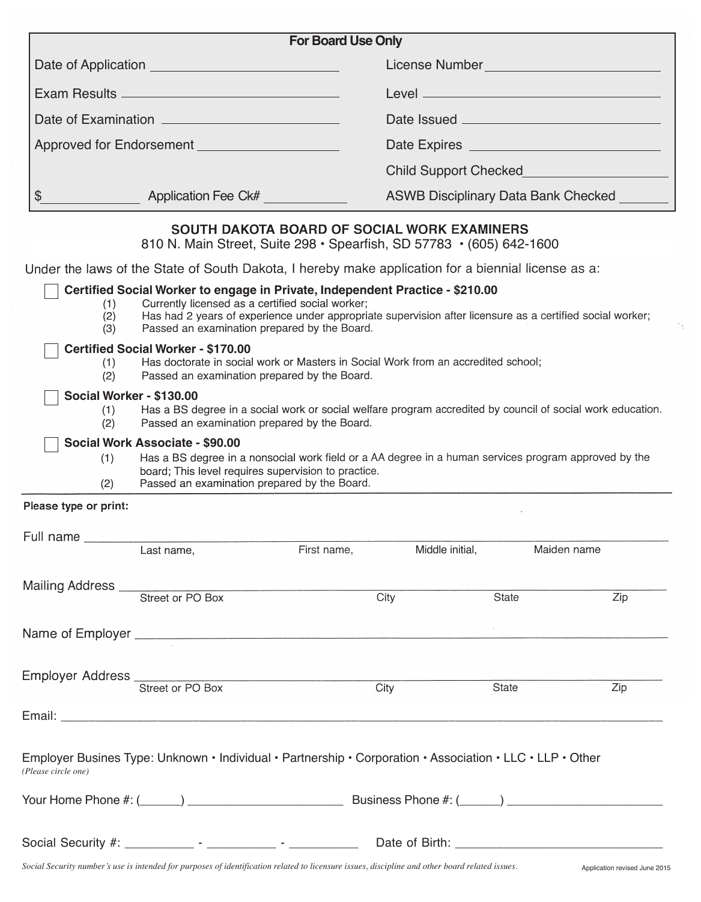|                       |                                                                                                                                                        | <b>For Board Use Only</b>                                                                                                                                   |                                                                          |       |                                                    |  |
|-----------------------|--------------------------------------------------------------------------------------------------------------------------------------------------------|-------------------------------------------------------------------------------------------------------------------------------------------------------------|--------------------------------------------------------------------------|-------|----------------------------------------------------|--|
|                       |                                                                                                                                                        |                                                                                                                                                             | License Number Number Number Number Number Number Number Number Number 1 |       |                                                    |  |
|                       |                                                                                                                                                        |                                                                                                                                                             |                                                                          |       |                                                    |  |
|                       |                                                                                                                                                        |                                                                                                                                                             |                                                                          |       |                                                    |  |
|                       |                                                                                                                                                        |                                                                                                                                                             |                                                                          |       |                                                    |  |
|                       |                                                                                                                                                        |                                                                                                                                                             |                                                                          |       | <b>Child Support Checked Child Support Checked</b> |  |
| \$                    | Application Fee Ck#                                                                                                                                    |                                                                                                                                                             | ASWB Disciplinary Data Bank Checked                                      |       |                                                    |  |
|                       |                                                                                                                                                        | SOUTH DAKOTA BOARD OF SOCIAL WORK EXAMINERS<br>810 N. Main Street, Suite 298 · Spearfish, SD 57783 · (605) 642-1600                                         |                                                                          |       |                                                    |  |
|                       | Under the laws of the State of South Dakota, I hereby make application for a biennial license as a:                                                    |                                                                                                                                                             |                                                                          |       |                                                    |  |
|                       | Certified Social Worker to engage in Private, Independent Practice - \$210.00<br>Currently licensed as a certified social worker;<br>(1)<br>(2)<br>(3) | Has had 2 years of experience under appropriate supervision after licensure as a certified social worker;<br>Passed an examination prepared by the Board.   |                                                                          |       |                                                    |  |
| (1)<br>(2)            | <b>Certified Social Worker - \$170.00</b>                                                                                                              | Has doctorate in social work or Masters in Social Work from an accredited school;<br>Passed an examination prepared by the Board.                           |                                                                          |       |                                                    |  |
| (1)<br>(2)            | Social Worker - \$130.00                                                                                                                               | Has a BS degree in a social work or social welfare program accredited by council of social work education.<br>Passed an examination prepared by the Board.  |                                                                          |       |                                                    |  |
| (1)<br>(2)            | Social Work Associate - \$90.00<br>Passed an examination prepared by the Board.                                                                        | Has a BS degree in a nonsocial work field or a AA degree in a human services program approved by the<br>board; This level requires supervision to practice. |                                                                          |       |                                                    |  |
| Please type or print: |                                                                                                                                                        |                                                                                                                                                             |                                                                          |       |                                                    |  |
|                       | Last name,                                                                                                                                             | First name,                                                                                                                                                 | Middle initial,                                                          |       | Maiden name                                        |  |
|                       | Mailing Address Street or PO Box                                                                                                                       | City                                                                                                                                                        |                                                                          | State | Zip                                                |  |
|                       |                                                                                                                                                        |                                                                                                                                                             |                                                                          |       |                                                    |  |
|                       | Employer Address<br>Street or PO Box                                                                                                                   | City                                                                                                                                                        |                                                                          | State | Zip                                                |  |
|                       |                                                                                                                                                        |                                                                                                                                                             |                                                                          |       |                                                    |  |
| (Please circle one)   | Employer Busines Type: Unknown • Individual • Partnership • Corporation • Association • LLC • LLP • Other                                              |                                                                                                                                                             |                                                                          |       |                                                    |  |
|                       |                                                                                                                                                        |                                                                                                                                                             |                                                                          |       |                                                    |  |
|                       |                                                                                                                                                        |                                                                                                                                                             |                                                                          |       |                                                    |  |

 $\gamma_{\chi}$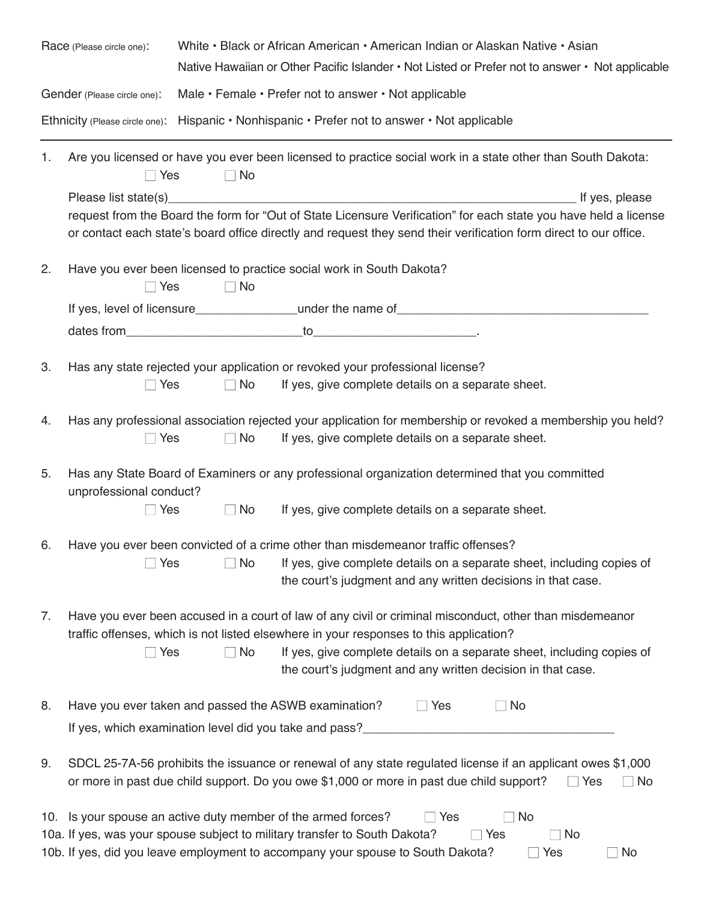| Race (Please circle one):                                                                     |                                                                                                                                                                                                                                  |                                                       | White • Black or African American • American Indian or Alaskan Native • Asian<br>Native Hawaiian or Other Pacific Islander • Not Listed or Prefer not to answer • Not applicable                                                                                                      |  |  |
|-----------------------------------------------------------------------------------------------|----------------------------------------------------------------------------------------------------------------------------------------------------------------------------------------------------------------------------------|-------------------------------------------------------|---------------------------------------------------------------------------------------------------------------------------------------------------------------------------------------------------------------------------------------------------------------------------------------|--|--|
| Gender (Please circle one):                                                                   |                                                                                                                                                                                                                                  | Male • Female • Prefer not to answer • Not applicable |                                                                                                                                                                                                                                                                                       |  |  |
| Ethnicity (Please circle one): Hispanic • Nonhispanic • Prefer not to answer • Not applicable |                                                                                                                                                                                                                                  |                                                       |                                                                                                                                                                                                                                                                                       |  |  |
| 1.                                                                                            | $\sqsupset$ Yes                                                                                                                                                                                                                  | $\Box$ No                                             | Are you licensed or have you ever been licensed to practice social work in a state other than South Dakota:                                                                                                                                                                           |  |  |
|                                                                                               |                                                                                                                                                                                                                                  |                                                       | If yes, please                                                                                                                                                                                                                                                                        |  |  |
|                                                                                               |                                                                                                                                                                                                                                  |                                                       | request from the Board the form for "Out of State Licensure Verification" for each state you have held a license<br>or contact each state's board office directly and request they send their verification form direct to our office.                                                 |  |  |
| 2.                                                                                            | $\Box$ Yes                                                                                                                                                                                                                       | $\Box$ No                                             | Have you ever been licensed to practice social work in South Dakota?                                                                                                                                                                                                                  |  |  |
|                                                                                               |                                                                                                                                                                                                                                  |                                                       |                                                                                                                                                                                                                                                                                       |  |  |
|                                                                                               |                                                                                                                                                                                                                                  |                                                       | dates from the total to the contract of the contract of the contract of the contract of the contract of the contract of the contract of the contract of the contract of the contract of the contract of the contract of the co                                                        |  |  |
| 3.                                                                                            | $\sqcap$ Yes                                                                                                                                                                                                                     | No                                                    | Has any state rejected your application or revoked your professional license?<br>If yes, give complete details on a separate sheet.                                                                                                                                                   |  |  |
| 4.                                                                                            | $\sqcap$ Yes                                                                                                                                                                                                                     | No                                                    | Has any professional association rejected your application for membership or revoked a membership you held?<br>If yes, give complete details on a separate sheet.                                                                                                                     |  |  |
| 5.                                                                                            | Has any State Board of Examiners or any professional organization determined that you committed<br>unprofessional conduct?                                                                                                       |                                                       |                                                                                                                                                                                                                                                                                       |  |  |
|                                                                                               | $\Box$ Yes                                                                                                                                                                                                                       | $\Box$ No                                             | If yes, give complete details on a separate sheet.                                                                                                                                                                                                                                    |  |  |
| 6.                                                                                            |                                                                                                                                                                                                                                  |                                                       | Have you ever been convicted of a crime other than misdemeanor traffic offenses?                                                                                                                                                                                                      |  |  |
|                                                                                               | $\Box$ Yes                                                                                                                                                                                                                       | No                                                    | If yes, give complete details on a separate sheet, including copies of<br>the court's judgment and any written decisions in that case.                                                                                                                                                |  |  |
| 7.                                                                                            | Have you ever been accused in a court of law of any civil or criminal misconduct, other than misdemeanor<br>traffic offenses, which is not listed elsewhere in your responses to this application?                               |                                                       |                                                                                                                                                                                                                                                                                       |  |  |
|                                                                                               | $\Box$ Yes                                                                                                                                                                                                                       | No                                                    | If yes, give complete details on a separate sheet, including copies of<br>the court's judgment and any written decision in that case.                                                                                                                                                 |  |  |
| 8.                                                                                            |                                                                                                                                                                                                                                  |                                                       | Have you ever taken and passed the ASWB examination?<br>$\Box$ Yes<br>No                                                                                                                                                                                                              |  |  |
|                                                                                               | If yes, which examination level did you take and pass?                                                                                                                                                                           |                                                       |                                                                                                                                                                                                                                                                                       |  |  |
| 9.                                                                                            | SDCL 25-7A-56 prohibits the issuance or renewal of any state regulated license if an applicant owes \$1,000<br>or more in past due child support. Do you owe \$1,000 or more in past due child support?<br>Yes<br>$\sqsupset$ No |                                                       |                                                                                                                                                                                                                                                                                       |  |  |
|                                                                                               |                                                                                                                                                                                                                                  |                                                       | 10. Is your spouse an active duty member of the armed forces?<br>Yes<br>No<br>10a. If yes, was your spouse subject to military transfer to South Dakota?<br>$\Box$ No<br>Yes<br>10b. If yes, did you leave employment to accompany your spouse to South Dakota?<br>_ Yes<br>No<br>n l |  |  |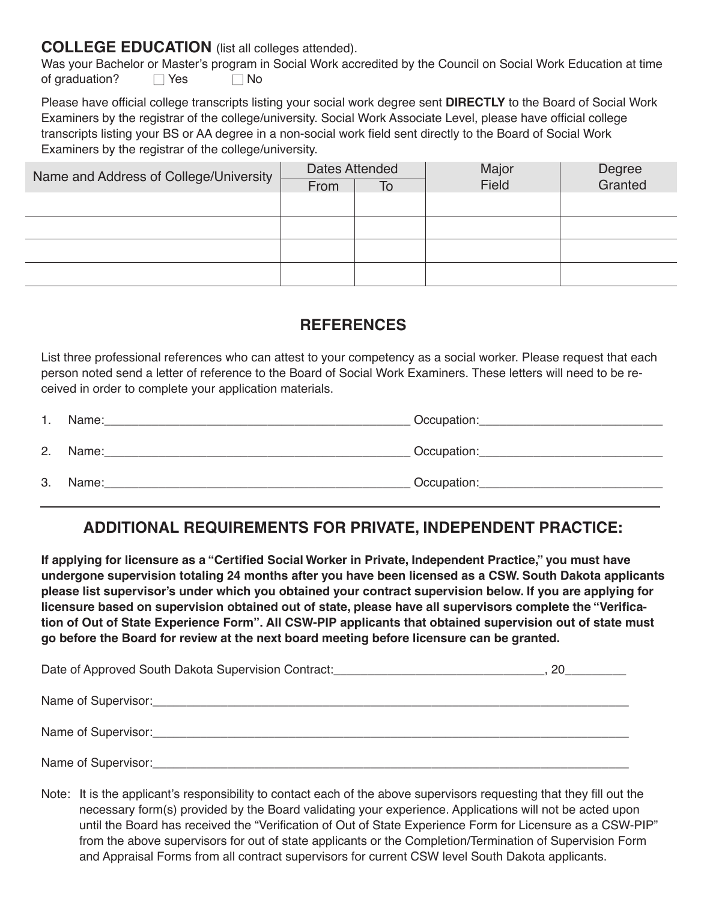## **COLLEGE EDUCATION** (list all colleges attended).

Was your Bachelor or Master's program in Social Work accredited by the Council on Social Work Education at time of graduation?  $\Box$  Yes  $\Box$  No

Please have official college transcripts listing your social work degree sent **DIRECTLY** to the Board of Social Work Examiners by the registrar of the college/university. Social Work Associate Level, please have official college transcripts listing your BS or AA degree in a non-social work field sent directly to the Board of Social Work Examiners by the registrar of the college/university.

| Name and Address of College/University | Dates Attended |    | Major | Degree<br>Granted |
|----------------------------------------|----------------|----|-------|-------------------|
|                                        | From           | To | Field |                   |
|                                        |                |    |       |                   |
|                                        |                |    |       |                   |
|                                        |                |    |       |                   |
|                                        |                |    |       |                   |

## **REFERENCES**

List three professional references who can attest to your competency as a social worker. Please request that each person noted send a letter of reference to the Board of Social Work Examiners. These letters will need to be received in order to complete your application materials.

|    | Name: | Occupation: |
|----|-------|-------------|
| 2. | Name: | Occupation: |
| 3. | Name: | Occupation: |

# **ADDITIONAL REQUIREMENTS FOR PRIVATE, INDEPENDENT PRACTICE:**

**If applying for licensure as a "Certified Social Worker in Private, Independent Practice," you must have undergone supervision totaling 24 months after you have been licensed as a CSW. South Dakota applicants please list supervisor's under which you obtained your contract supervision below. If you are applying for licensure based on supervision obtained out of state, please have all supervisors complete the "Verification of Out of State Experience Form". All CSW-PIP applicants that obtained supervision out of state must go before the Board for review at the next board meeting before licensure can be granted.** 

| Date of Approved South Dakota Supervision Contract: ____________________________ | 20 |
|----------------------------------------------------------------------------------|----|
|                                                                                  |    |
| Name of Supervisor: Name of Supervisor:                                          |    |
| Name of Supervisor:                                                              |    |

Note: It is the applicant's responsibility to contact each of the above supervisors requesting that they fill out the necessary form(s) provided by the Board validating your experience. Applications will not be acted upon until the Board has received the "Verification of Out of State Experience Form for Licensure as a CSW-PIP" from the above supervisors for out of state applicants or the Completion/Termination of Supervision Form and Appraisal Forms from all contract supervisors for current CSW level South Dakota applicants.